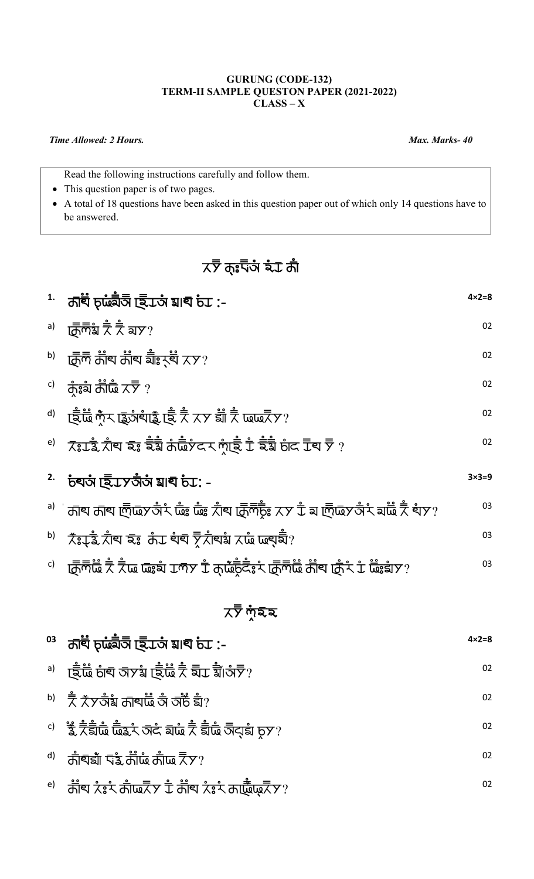## **GURUNG (CODE-132) TERM-II SAMPLE QUESTON PAPER (2021-2022) CLASS – X**

## *Time Allowed: 2 Hours. Max. Marks- 40*

Read the following instructions carefully and follow them.

- This question paper is of two pages.
- A total of 18 questions have been asked in this question paper out of which only 14 questions have to be answered.

## $\times$ স্ট ক্ঃ<sup>ল্</sup>তাঁ ষ্ঠ কাঁ

|    | $1.$ $\overrightarrow{0}$ $\overrightarrow{0}$ $\overrightarrow{0}$ $\overrightarrow{0}$ $\overrightarrow{0}$ $\overrightarrow{0}$ $\overrightarrow{0}$ $\overrightarrow{0}$ $\overrightarrow{0}$ $\overrightarrow{0}$ $\overrightarrow{0}$ $\overrightarrow{0}$ $\overrightarrow{0}$ $\overrightarrow{0}$ $\overrightarrow{0}$ $\overrightarrow{0}$ $\overrightarrow{0}$ $\overrightarrow{0}$ $\overrightarrow{0}$ $\overrightarrow{0}$ $\overrightarrow{0}$ $\overrightarrow{0}$ $\overrightarrow{0}$ $\overrightarrow{0}$ | $4 \times 2 = 8$ |
|----|------------------------------------------------------------------------------------------------------------------------------------------------------------------------------------------------------------------------------------------------------------------------------------------------------------------------------------------------------------------------------------------------------------------------------------------------------------------------------------------------------------------------------|------------------|
|    | <sup>a)</sup> ট্ৰেলিয় বাঁ বাঁ বাস?                                                                                                                                                                                                                                                                                                                                                                                                                                                                                          | 02               |
|    | $^{\rm b)}$ ট্ৰেল্ কাঁৰ কাঁৰ মাঁঃ $\star$ ৰ্ঘ $\times$ প?                                                                                                                                                                                                                                                                                                                                                                                                                                                                    | 02               |
|    | $\overline{c}$ ) ភ្ញុំនូវ៉ា ភ្ញាំឃ្មុំ $\times \overline{\overline{z}}$ ?                                                                                                                                                                                                                                                                                                                                                                                                                                                    | 02               |
|    | <sup>d)</sup> ট্ইট্ৰ প্ঁম ছ্ৰ্ৰ্তাৰ্থাহ্ৰ ট্ৰে স্থী সম্ভাৱী সী ডিডেইস?                                                                                                                                                                                                                                                                                                                                                                                                                                                       | 02               |
|    | $^{\rm e)}$ $\,$ $\,$ $\rm \bar{\bar{z}}$ ৱে $\dot{\bar{\bar{z}}}$ য় কৈ নাঁওঁ কৈ দুঁৱে দুঁৱা ভাঁৱ দুঁৱা কৰি দুঁ $\,$ $\,$ $\,$                                                                                                                                                                                                                                                                                                                                                                                              | 02               |
|    | $^{2}$ চৰ্ঘতা ছি $\overline{\mathcal{L}}$ সতাঁতা য়াব্ চ $\mathcal{L}$ : -                                                                                                                                                                                                                                                                                                                                                                                                                                                   | $3\times3=9$     |
|    | $^{\sf a)}$ ' কাব কাব ল্ডিচেত তাঁং ঢাঁঃ ঢাঁঃ ঠাব ট্ৰেল্ট্ঃ $\overline{\rm x}$ স $\stackrel{\star}{\rm L}$ য ল্ডিচেত তাঁং যাট্ৰ $\stackrel{\star}{\rm R}$ বাঁঃ $\stackrel{\star}{\rm R}$                                                                                                                                                                                                                                                                                                                                      | 03               |
|    | $^{\sf b)}$ $\;$ $\check{\bar{\chi}}$ इ $\downarrow$ $\check{\bar{\chi}}$ व्य इ $\;$ है उर्जर चैंब है है है है है है है है है है है है ह                                                                                                                                                                                                                                                                                                                                                                                     | 03               |
|    | $\vec{c}$ । ট্যালীটা সাঁকী আৰু আৰু আৰু সাঁকী আৰু বিজ্ঞানী সাঁকী আৰু বিজ্ঞাপ প্ৰতি আৰু বিজ্ঞাপ প্ৰতি আৰু বিজ্ঞাপ প                                                                                                                                                                                                                                                                                                                                                                                                            | 03               |
|    | $7\overline{7}$ শ্রহ ম                                                                                                                                                                                                                                                                                                                                                                                                                                                                                                       |                  |
|    | $^{03}$ নাৰ্ঘ চূৰ্ট্যেত্ৰীত ছিত্ৰকোঁ মাৰ্ঘ চঁত :-                                                                                                                                                                                                                                                                                                                                                                                                                                                                            | $4 \times 2 = 8$ |
|    | $^{\sf a)}$ া ছিঁৰ্টে চাঁব অসম ছিঁৰ্টে স্থ ছীত্ৰ য়ীজঁ $\bar{\bar{\nabla}}$ ?                                                                                                                                                                                                                                                                                                                                                                                                                                                | 02               |
|    | $^{\sf b)}$ ঁ ই $\star$ চতাঁয় কাৰ্ঘাৰ্ট্ তাঁ তাঁচঁ ৱাঁ?                                                                                                                                                                                                                                                                                                                                                                                                                                                                     | 02               |
|    |                                                                                                                                                                                                                                                                                                                                                                                                                                                                                                                              | 02               |
| d) | কাঁৰুৱাঁ দুই কাঁড় কাঁড় $\overline{\overline{X}}$ স?                                                                                                                                                                                                                                                                                                                                                                                                                                                                        | 02               |
| e) | ਨੀੰਥ ਨੰ $\zeta$ ੇ ਨੀਂਘਨੋੱਲ ਸੈਂ ਨੀੰਥ ਨੰ $\zeta$ ੇ ਨਾਇੱਘਨੋੱਲ $\gamma$                                                                                                                                                                                                                                                                                                                                                                                                                                                          | 02               |